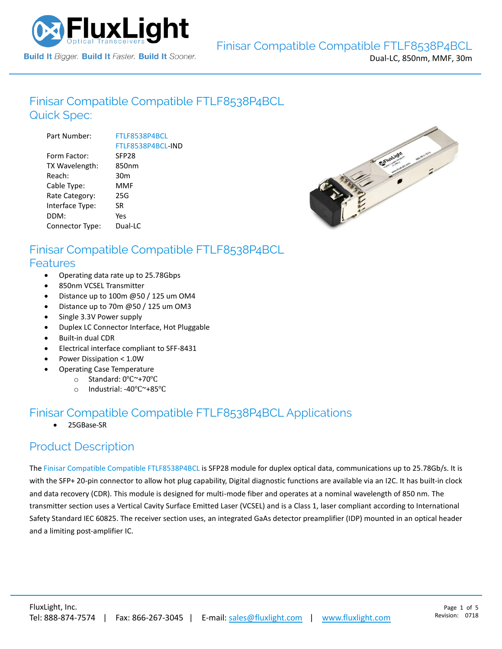

## Finisar Compatible [Compatible FTLF8538P4BCL](https://www.fluxlight.com/FTLF8538P4BCL/) Quick Spec:

| Part Number:    | FTLF8538P4BCL     |
|-----------------|-------------------|
|                 | FTLF8538P4BCL-IND |
| Form Factor:    | SFP <sub>28</sub> |
| TX Wavelength:  | 850nm             |
| Reach:          | 30m               |
| Cable Type:     | <b>MMF</b>        |
| Rate Category:  | 25G               |
| Interface Type: | SR.               |
| DDM:            | Yes               |
| Connector Type: | Dual-LC           |



#### Finisar Compatible [Compatible FTLF8538P4BCL](https://www.fluxlight.com/FTLF8538P4BCL/) Features

- Operating data rate up to 25.78Gbps
- 850nm VCSEL Transmitter
- Distance up to 100m @50 / 125 um OM4
- Distance up to 70m @50 / 125 um OM3
- Single 3.3V Power supply
- Duplex LC Connector Interface, Hot Pluggable
- Built-in dual CDR
- Electrical interface compliant to SFF-8431
- Power Dissipation < 1.0W
- Operating Case Temperature
	- o Standard: 0℃~+70℃
	- o Industrial: -40℃~+85℃

## Finisar Compatible [Compatible FTLF8538P4BCL](https://www.fluxlight.com/FTLF8538P4BCL/) Applications

• 25GBase-SR

#### Product Description

The Finisar Compatible [Compatible](https://www.fluxlight.com/) [FTLF8538P4BCL](https://www.fluxlight.com/FTLF8538P4BCL/) is SFP28 module for duplex optical data, communications up to 25.78Gb/s. It is with the SFP+ 20-pin connector to allow hot plug capability, Digital diagnostic functions are available via an I2C. It has built-in clock and data recovery (CDR). This module is designed for multi-mode fiber and operates at a nominal wavelength of 850 nm. The transmitter section uses a Vertical Cavity Surface Emitted Laser (VCSEL) and is a Class 1, laser compliant according to International Safety Standard IEC 60825. The receiver section uses, an integrated GaAs detector preamplifier (IDP) mounted in an optical header and a limiting post-amplifier IC.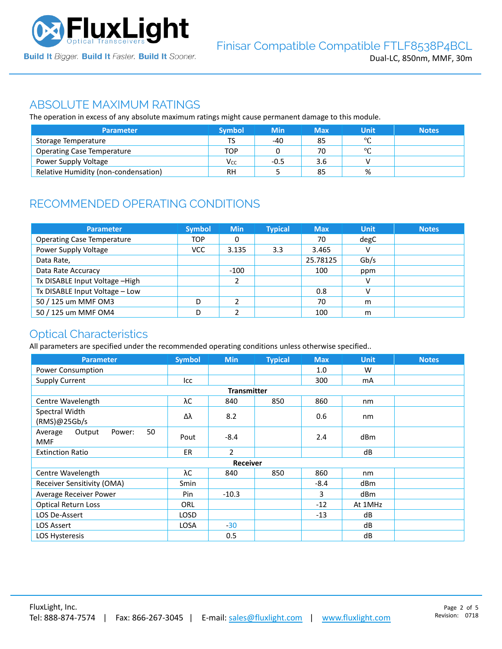

#### ABSOLUTE MAXIMUM RATINGS

The operation in excess of any absolute maximum ratings might cause permanent damage to this module.

| <b>Parameter</b>                     | <b>Symbol</b> | <b>Min</b> | Max | Unit    | <b>Notes</b> |
|--------------------------------------|---------------|------------|-----|---------|--------------|
| Storage Temperature                  | TS            | -40        | 85  | $\circ$ |              |
| <b>Operating Case Temperature</b>    | TOP           |            | 70  | $\circ$ |              |
| Power Supply Voltage                 | Vcc           | $-0.5$     | 3.6 |         |              |
| Relative Humidity (non-condensation) | RH            |            | 85  | %       |              |

# RECOMMENDED OPERATING CONDITIONS

| <b>Parameter</b>                  | <b>Symbol</b> | <b>Min</b> | <b>Typical</b> | <b>Max</b> | <b>Unit</b> | <b>Notes</b> |
|-----------------------------------|---------------|------------|----------------|------------|-------------|--------------|
| <b>Operating Case Temperature</b> | <b>TOP</b>    | 0          |                | 70         | degC        |              |
| Power Supply Voltage              | <b>VCC</b>    | 3.135      | 3.3            | 3.465      | v           |              |
| Data Rate,                        |               |            |                | 25.78125   | Gb/s        |              |
| Data Rate Accuracy                |               | $-100$     |                | 100        | ppm         |              |
| Tx DISABLE Input Voltage -High    |               | h          |                |            | v           |              |
| Tx DISABLE Input Voltage - Low    |               |            |                | 0.8        | v           |              |
| 50 / 125 um MMF OM3               | D             |            |                | 70         | m           |              |
| 50 / 125 um MMF OM4               | D             |            |                | 100        | m           |              |

## Optical Characteristics

All parameters are specified under the recommended operating conditions unless otherwise specified..

| <b>Parameter</b>                                | <b>Symbol</b>   | <b>Min</b>         | <b>Typical</b> | <b>Max</b> | <b>Unit</b>     | <b>Notes</b> |  |
|-------------------------------------------------|-----------------|--------------------|----------------|------------|-----------------|--------------|--|
| Power Consumption                               |                 |                    |                | 1.0        | W               |              |  |
| <b>Supply Current</b>                           | Icc             |                    |                | 300        | mA              |              |  |
|                                                 |                 | <b>Transmitter</b> |                |            |                 |              |  |
| Centre Wavelength                               | λC              | 840                | 850            | 860        | nm              |              |  |
| Spectral Width<br>(RMS)@25Gb/s                  | Δλ              | 8.2                |                | 0.6        | nm              |              |  |
| 50<br>Output<br>Average<br>Power:<br><b>MMF</b> | Pout            | $-8.4$             |                | 2.4        | dB <sub>m</sub> |              |  |
| <b>Extinction Ratio</b>                         | ER.             | $\overline{2}$     |                |            | dB              |              |  |
|                                                 | <b>Receiver</b> |                    |                |            |                 |              |  |
| Centre Wavelength                               | λС              | 840                | 850            | 860        | nm              |              |  |
| Receiver Sensitivity (OMA)                      | Smin            |                    |                | $-8.4$     | dBm             |              |  |
| Average Receiver Power                          | Pin             | $-10.3$            |                | 3          | dB <sub>m</sub> |              |  |
| <b>Optical Return Loss</b>                      | <b>ORL</b>      |                    |                | $-12$      | At 1MHz         |              |  |
| LOS De-Assert                                   | LOSD            |                    |                | $-13$      | dB              |              |  |
| <b>LOS Assert</b>                               | <b>LOSA</b>     | $-30$              |                |            | dB              |              |  |
| LOS Hysteresis                                  |                 | 0.5                |                |            | dB              |              |  |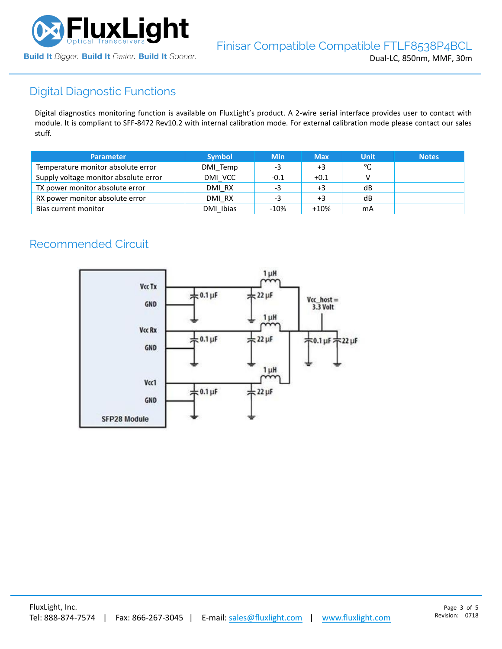

# Digital Diagnostic Functions

Digital diagnostics monitoring function is available on FluxLight's product. A 2-wire serial interface provides user to contact with module. It is compliant to SFF-8472 Rev10.2 with internal calibration mode. For external calibration mode please contact our sales stuff.

| <b>Parameter</b>                      | <b>Symbol</b> | <b>Min</b> | <b>Max</b> | <b>Unit</b> | <b>Notes</b> |
|---------------------------------------|---------------|------------|------------|-------------|--------------|
| Temperature monitor absolute error    | DMI Temp      | -3         | +3         | °C          |              |
| Supply voltage monitor absolute error | DMI VCC       | -0.1       | $+0.1$     |             |              |
| TX power monitor absolute error       | DMI RX        | -3         | $+3$       | dB          |              |
| RX power monitor absolute error       | DMI RX        | -3         | $+3$       | dB          |              |
| Bias current monitor                  | DMI Ibias     | $-10%$     | $+10%$     | mA          |              |

# Recommended Circuit

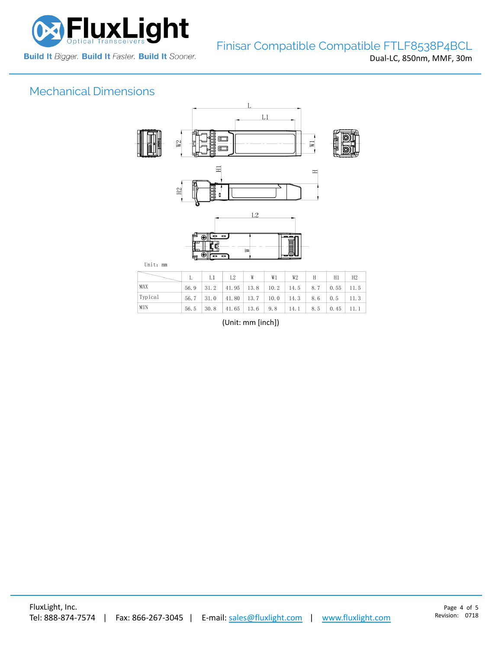

# Mechanical Dimensions



| MAX<br>$56.9$   31.2   41.95   13.8   10.2   14.5   8.7   0.55   11.5                                   |  |
|---------------------------------------------------------------------------------------------------------|--|
| Typical<br>$56.7$   31.0   41.80   13.7   10.0   14.3   8.6   0.5   11.3                                |  |
| MIN<br>$\vert 30.8 \vert 41.65 \vert 13.6 \vert 9.8 \vert 14.1 \vert 8.5 \vert 0.45 \vert 11.1$<br>56.5 |  |

(Unit: mm [inch])